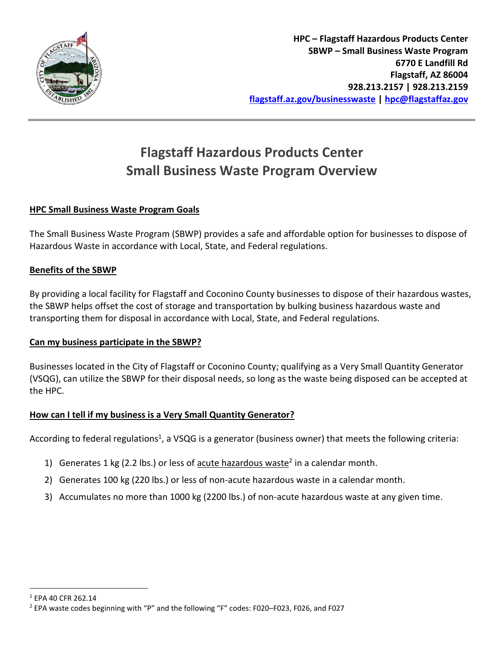

# **Flagstaff Hazardous Products Center Small Business Waste Program Overview**

### **HPC Small Business Waste Program Goals**

The Small Business Waste Program (SBWP) provides a safe and affordable option for businesses to dispose of Hazardous Waste in accordance with Local, State, and Federal regulations.

#### **Benefits of the SBWP**

By providing a local facility for Flagstaff and Coconino County businesses to dispose of their hazardous wastes, the SBWP helps offset the cost of storage and transportation by bulking business hazardous waste and transporting them for disposal in accordance with Local, State, and Federal regulations.

#### **Can my business participate in the SBWP?**

Businesses located in the City of Flagstaff or Coconino County; qualifying as a Very Small Quantity Generator (VSQG), can utilize the SBWP for their disposal needs, so long as the waste being disposed can be accepted at the HPC.

#### **How can I tell if my business is a Very Small Quantity Generator?**

According to federal regulations<sup>1</sup>, a VSQG is a generator (business owner) that meets the following criteria:

- 1) Generates 1 kg (2.2 lbs.) or less of  $\frac{acute}{hazardous}$  waste<sup>2</sup> in a calendar month.
- 2) Generates 100 kg (220 lbs.) or less of non-acute hazardous waste in a calendar month.
- 3) Accumulates no more than 1000 kg (2200 lbs.) of non-acute hazardous waste at any given time.

<sup>1</sup> EPA 40 CFR 262.14

<sup>2</sup> EPA waste codes beginning with "P" and the following "F" codes: F020–F023, F026, and F027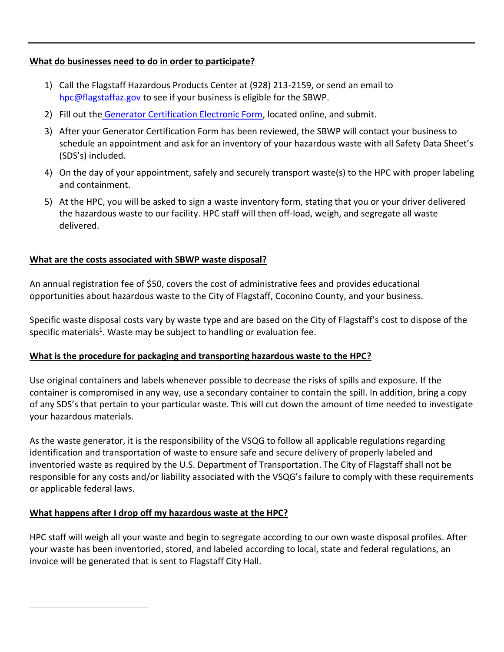#### **What do businesses need to do in order to participate?**

- 1) Call the Flagstaff Hazardous Products Center at (928) 213-2159, or send an email to [hpc@flagstaffaz.gov](mailto:hpc@flagstaffaz.gov) to see if your business is eligible for the SBWP.
- 2) Fill out the [Generator Certification Electronic Form,](https://www.flagstaff.az.gov/FormCenter/Public-Works-9/SBWP-Generator-Certification-Form-64) located online, and submit.
- 3) After your Generator Certification Form has been reviewed, the SBWP will contact your business to schedule an appointment and ask for an inventory of your hazardous waste with all Safety Data Sheet's (SDS's) included.
- 4) On the day of your appointment, safely and securely transport waste(s) to the HPC with proper labeling and containment.
- 5) At the HPC, you will be asked to sign a waste inventory form, stating that you or your driver delivered the hazardous waste to our facility. HPC staff will then off-load, weigh, and segregate all waste delivered.

## **What are the costs associated with SBWP waste disposal?**

An annual registration fee of \$50, covers the cost of administrative fees and provides educational opportunities about hazardous waste to the City of Flagstaff, Coconino County, and your business.

Specific waste disposal costs vary by waste type and are based on the City of Flagstaff's cost to dispose of the specific materials<sup>1</sup>. Waste may be subject to handling or evaluation fee.

#### **What is the procedure for packaging and transporting hazardous waste to the HPC?**

Use original containers and labels whenever possible to decrease the risks of spills and exposure. If the container is compromised in any way, use a secondary container to contain the spill. In addition, bring a copy of any SDS's that pertain to your particular waste. This will cut down the amount of time needed to investigate your hazardous materials.

As the waste generator, it is the responsibility of the VSQG to follow all applicable regulations regarding identification and transportation of waste to ensure safe and secure delivery of properly labeled and inventoried waste as required by the U.S. Department of Transportation. The City of Flagstaff shall not be responsible for any costs and/or liability associated with the VSQG's failure to comply with these requirements or applicable federal laws.

## **What happens after I drop off my hazardous waste at the HPC?**

HPC staff will weigh all your waste and begin to segregate according to our own waste disposal profiles. After your waste has been inventoried, stored, and labeled according to local, state and federal regulations, an invoice will be generated that is sent to Flagstaff City Hall.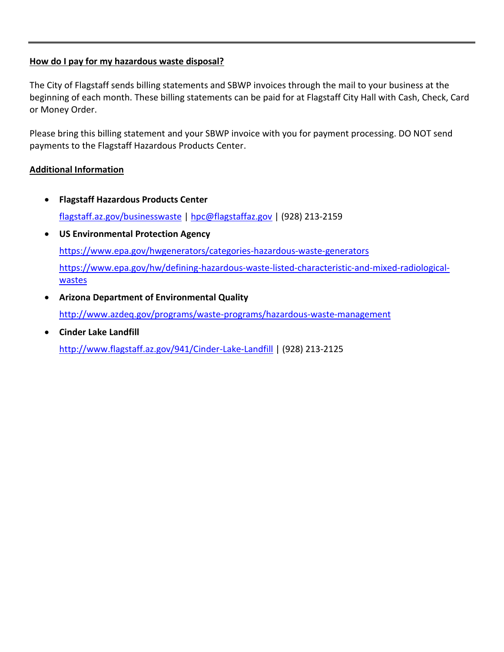#### **How do I pay for my hazardous waste disposal?**

The City of Flagstaff sends billing statements and SBWP invoices through the mail to your business at the beginning of each month. These billing statements can be paid for at Flagstaff City Hall with Cash, Check, Card or Money Order.

Please bring this billing statement and your SBWP invoice with you for payment processing. DO NOT send payments to the Flagstaff Hazardous Products Center.

#### **Additional Information**

- **Flagstaff Hazardous Products Center** [flagstaff.az.gov/businesswaste](https://www.flagstaff.az.gov/businesswaste) | [hpc@flagstaffaz.gov](mailto:hpc@flagstaffaz.gov) | (928) 213-2159
- **US Environmental Protection Agency** <https://www.epa.gov/hwgenerators/categories-hazardous-waste-generators> [https://www.epa.gov/hw/defining-hazardous-waste-listed-characteristic-and-mixed-radiological](https://www.epa.gov/hw/defining-hazardous-waste-listed-characteristic-and-mixed-radiological-wastes)[wastes](https://www.epa.gov/hw/defining-hazardous-waste-listed-characteristic-and-mixed-radiological-wastes)
- **Arizona Department of Environmental Quality** <http://www.azdeq.gov/programs/waste-programs/hazardous-waste-management>
- **Cinder Lake Landfill** <http://www.flagstaff.az.gov/941/Cinder-Lake-Landfill> | (928) 213-2125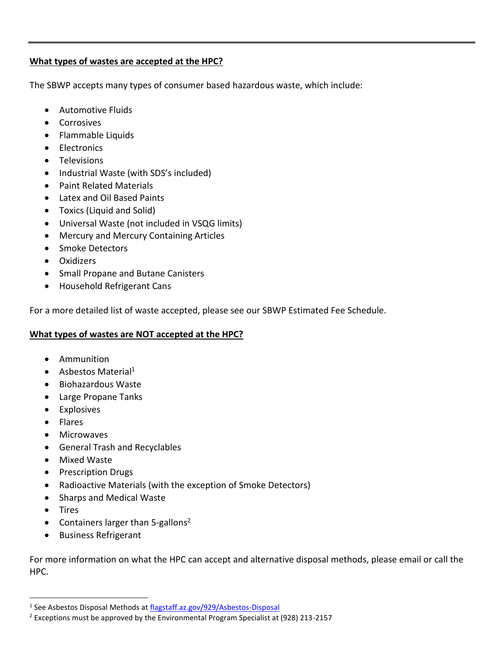#### **What types of wastes are accepted at the HPC?**

The SBWP accepts many types of consumer based hazardous waste, which include:

- Automotive Fluids
- Corrosives
- Flammable Liquids
- Electronics
- Televisions
- Industrial Waste (with SDS's included)
- Paint Related Materials
- Latex and Oil Based Paints
- Toxics (Liquid and Solid)
- Universal Waste (not included in VSQG limits)
- Mercury and Mercury Containing Articles
- Smoke Detectors
- Oxidizers
- Small Propane and Butane Canisters
- Household Refrigerant Cans

For a more detailed list of waste accepted, please see our SBWP Estimated Fee Schedule.

#### **What types of wastes are NOT accepted at the HPC?**

- Ammunition
- Asbestos Material<sup>1</sup>
- Biohazardous Waste
- Large Propane Tanks
- Explosives
- Flares
- **Microwaves**
- General Trash and Recyclables
- Mixed Waste
- Prescription Drugs
- Radioactive Materials (with the exception of Smoke Detectors)
- Sharps and Medical Waste
- Tires
- Containers larger than 5-gallons<sup>2</sup>
- Business Refrigerant

For more information on what the HPC can accept and alternative disposal methods, please email or call the HPC.

<sup>&</sup>lt;sup>1</sup> See Asbestos Disposal Methods at [flagstaff.az.gov/929/Asbestos-Disposal](http://www.flagstaff.az.gov/929/Asbestos-Disposal)

<sup>2</sup> Exceptions must be approved by the Environmental Program Specialist at (928) 213-2157